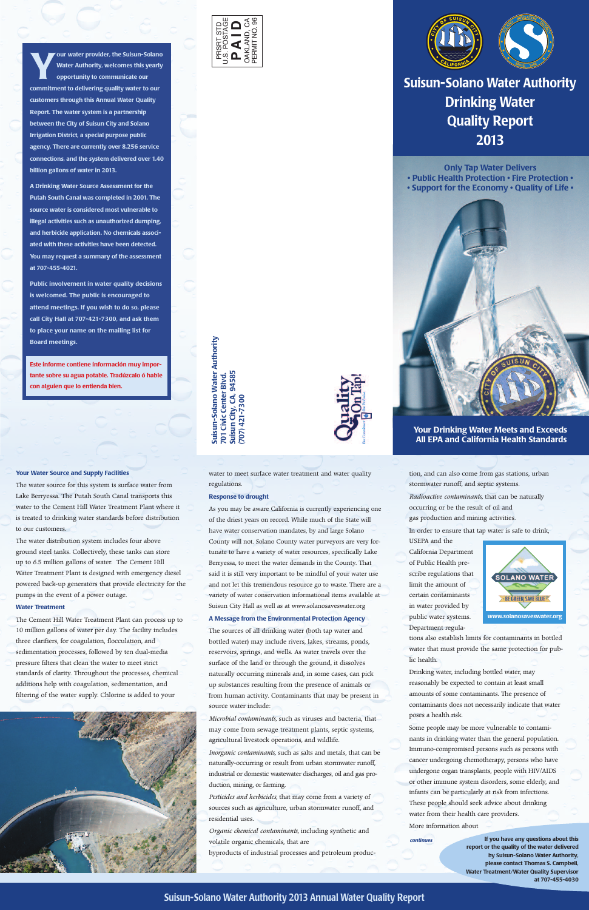



tion, and can also come from gas stations, urban stormwater runoff, and septic systems.

*Radioactive contaminants,* that can be naturally occurring or be the result of oil and gas production and mining activities.

In order to ensure that tap water is safe to drink,

USEPA and the California Department of Public Health prescribe regulations that limit the amount of certain contaminants in water provided by public water systems. Department regula-

tions also establish limits for contaminants in bottled water that must provide the same protection for public health.

Drinking water, including bottled water, may reasonably be expected to contain at least small amounts of some contaminants. The presence of contaminants does not necessarily indicate that water poses a health risk.

**Your water provider, the Suisun-Solano**<br>Water Authority, welcomes this yearly<br>opportunity to communicate our **Water Authority, welcomes this yearly opportunity to communicate our commitment to delivering quality water to our customers through this Annual Water Quality Report. The water system is a partnership between the City of Suisun City and Solano Irrigation District, a special purpose public agency. There are currently over 8,256 service connections, and the system delivered over 1.40 billion gallons of water in 2013.**

> Some people may be more vulnerable to contaminants in drinking water than the general population. Immuno-compromised persons such as persons with cancer undergoing chemotherapy, persons who have undergone organ transplants, people with HIV/AIDS or other immune system disorders, some elderly, and infants can be particularly at risk from infections. These people should seek advice about drinking water from their health care providers.

More information about

*continues*

**ority**

**Suisu 7 n-S ola n o Water A uth 01 Civic C e nter Blv d. S uisu n City, C A, 9 4 5 8 5 (7 0 7) 4 21-7 3 0 0**

> **If you have any questions about this report or the quality of the water delivered by Suisun-Solano Water Authority, please contact Thomas S. Campbell, Water Treatment/Water Quality Supervisor at 707-455-4030**

**A Drinking Water Source Assessment for the Putah South Canal was completed in 2001. The source water is considered most vulnerable to illegal activities such as unauthorized dumping, and herbicide application. No chemicals associated with these activities have been detected. You may request a summary of the assessment at 707-455-4021.**

**Public involvement in water quality decisions is welcomed. The public is encouraged to attend meetings. If you wish to do so, please call City Hall at 707-421-7300, and ask them to place your name on the mailing list for Board meetings.**

**Este informe contiene información muy importante sobre su agua potable. Tradúzcalo ó hable con alguien que lo entienda bien.**

> water to meet surface water treatment and water quality regulations.

## **Response to drought**

As you may be aware California is currently experiencing one of the driest years on record. While much of the State will have water conservation mandates, by and large Solano County will not. Solano County water purveyors are very fortunate to have a variety of water resources, specifically Lake Berryessa, to meet the water demands in the County. That said it is still very important to be mindful of your water use and not let this tremendous resource go to waste. There are a variety of water conservation informational items available at Suisun City Hall as well as at www.solanosaveswater.org

# **A Message from the Environmental Protection Agency**

The sources of all drinking water (both tap water and bottled water) may include rivers, lakes, streams, ponds, reservoirs, springs, and wells. As water travels over the surface of the land or through the ground, it dissolves

naturally occurring minerals and, in some cases, can pick up substances resulting from the presence of animals or from human activity. Contaminants that may be present in source water include:

*Microbial contaminants,* such as viruses and bacteria, that may come from sewage treatment plants, septic systems, agricultural livestock operations, and wildlife.

*Inorganic contaminants,* such as salts and metals, that can be naturally-occurring or result from urban stormwater runoff, industrial or domestic wastewater discharges, oil and gas production, mining, or farming.

*Pesticides and herbicides,* that may come from a variety of sources such as agriculture, urban stormwater runoff, and residential uses.

*Organic chemical contaminants,* including synthetic and volatile organic chemicals, that are

byproducts of industrial processes and petroleum produc-

## **Your Water Source and Supply Facilities**

The water source for this system is surface water from Lake Berryessa. The Putah South Canal transports this water to the Cement Hill Water Treatment Plant where it is treated to drinking water standards before distribution to our customers.

The water distribution system includes four above ground steel tanks. Collectively, these tanks can store up to 6.5 million gallons of water. The Cement Hill Water Treatment Plant is designed with emergency diesel powered back-up generators that provide electricity for the pumps in the event of a power outage.

# **Water Treatment**

The Cement Hill Water Treatment Plant can process up to 10 million gallons of water per day. The facility includes three clarifiers, for coagulation, flocculation, and sedimentation processes, followed by ten dual-media pressure filters that clean the water to meet strict

standards of clarity. Throughout the processes, chemical additions help with coagulation, sedimentation, and filtering of the water supply. Chlorine is added to your



**Suisun-Solano Water Authority 2013 Annual Water Quality Report**

**Only Tap Water Delivers • Public Health Protection • Fire Protection • • Support for the Economy • Quality of Life •**



# **Your Drinking Water Meets and Exceeds All EPA and California Health Standards**



**Suisun-Solano Water Authority Drinking Water Quality Report 2013**